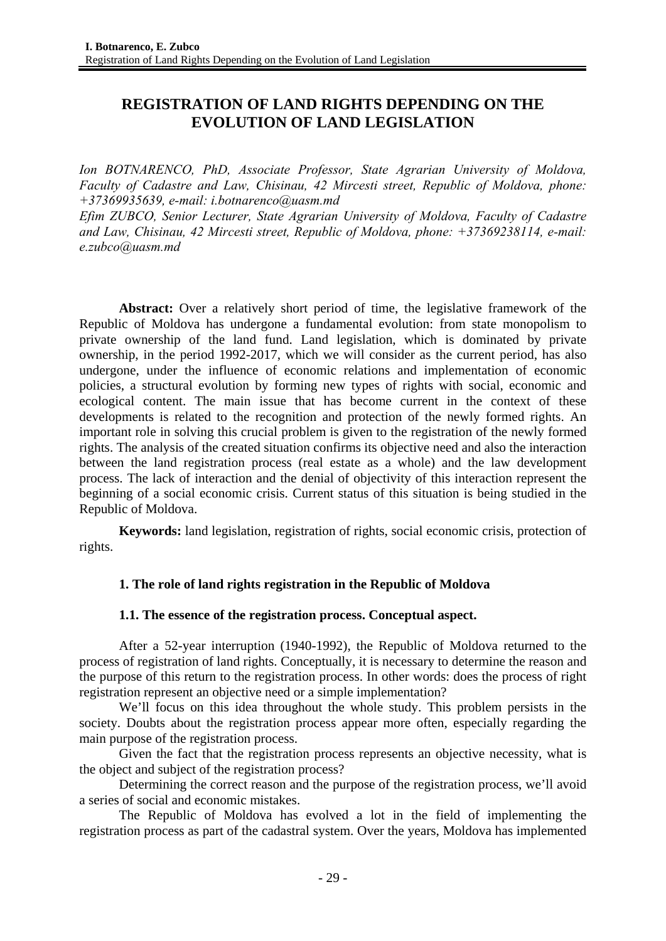# **REGISTRATION OF LAND RIGHTS DEPENDING ON THE EVOLUTION OF LAND LEGISLATION**

*Ion BOTNARENCO, PhD, Associate Professor, State Agrarian University of Moldova, Faculty of Cadastre and Law, Chisinau, 42 Mircesti street, Republic of Moldova, phone: +37369935639, e-mail: i.botnarenco@uasm.md*

*Efim ZUBCO, Senior Lecturer, State Agrarian University of Moldova, Faculty of Cadastre and Law, Chisinau, 42 Mircesti street, Republic of Moldova, phone: +37369238114, e-mail: e.zubco@uasm.md* 

**Abstract:** Over a relatively short period of time, the legislative framework of the Republic of Moldova has undergone a fundamental evolution: from state monopolism to private ownership of the land fund. Land legislation, which is dominated by private ownership, in the period 1992-2017, which we will consider as the current period, has also undergone, under the influence of economic relations and implementation of economic policies, a structural evolution by forming new types of rights with social, economic and ecological content. The main issue that has become current in the context of these developments is related to the recognition and protection of the newly formed rights. An important role in solving this crucial problem is given to the registration of the newly formed rights. The analysis of the created situation confirms its objective need and also the interaction between the land registration process (real estate as a whole) and the law development process. The lack of interaction and the denial of objectivity of this interaction represent the beginning of a social economic crisis. Current status of this situation is being studied in the Republic of Moldova.

**Keywords:** land legislation, registration of rights, social economic crisis, protection of rights.

# **1. The role of land rights registration in the Republic of Moldova**

# **1.1. The essence of the registration process. Conceptual aspect.**

After a 52-year interruption (1940-1992), the Republic of Moldova returned to the process of registration of land rights. Conceptually, it is necessary to determine the reason and the purpose of this return to the registration process. In other words: does the process of right registration represent an objective need or a simple implementation?

We'll focus on this idea throughout the whole study. This problem persists in the society. Doubts about the registration process appear more often, especially regarding the main purpose of the registration process.

Given the fact that the registration process represents an objective necessity, what is the object and subject of the registration process?

Determining the correct reason and the purpose of the registration process, we'll avoid a series of social and economic mistakes.

The Republic of Moldova has evolved a lot in the field of implementing the registration process as part of the cadastral system. Over the years, Moldova has implemented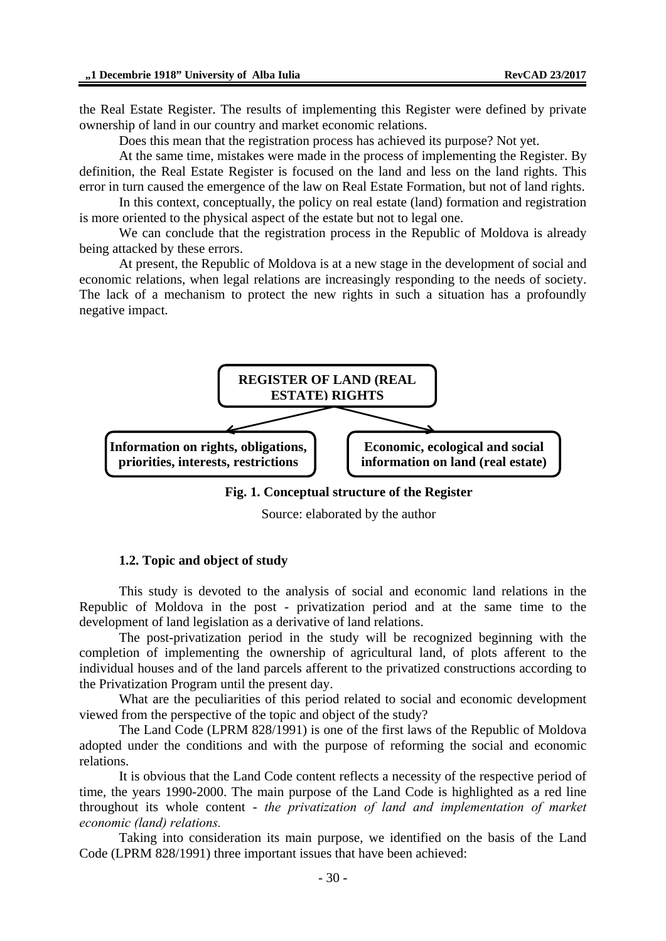the Real Estate Register. The results of implementing this Register were defined by private ownership of land in our country and market economic relations.

Does this mean that the registration process has achieved its purpose? Not yet.

At the same time, mistakes were made in the process of implementing the Register. By definition, the Real Estate Register is focused on the land and less on the land rights. This error in turn caused the emergence of the law on Real Estate Formation, but not of land rights.

In this context, conceptually, the policy on real estate (land) formation and registration is more oriented to the physical aspect of the estate but not to legal one.

We can conclude that the registration process in the Republic of Moldova is already being attacked by these errors.

At present, the Republic of Moldova is at a new stage in the development of social and economic relations, when legal relations are increasingly responding to the needs of society. The lack of a mechanism to protect the new rights in such a situation has a profoundly negative impact.



**Fig. 1. Conceptual structure of the Register** 

Source: elaborated by the author

#### **1.2. Topic and object of study**

This study is devoted to the analysis of social and economic land relations in the Republic of Moldova in the post - privatization period and at the same time to the development of land legislation as a derivative of land relations.

The post-privatization period in the study will be recognized beginning with the completion of implementing the ownership of agricultural land, of plots afferent to the individual houses and of the land parcels afferent to the privatized constructions according to the Privatization Program until the present day.

What are the peculiarities of this period related to social and economic development viewed from the perspective of the topic and object of the study?

The Land Code (LPRM 828/1991) is one of the first laws of the Republic of Moldova adopted under the conditions and with the purpose of reforming the social and economic relations.

It is obvious that the Land Code content reflects a necessity of the respective period of time, the years 1990-2000. The main purpose of the Land Code is highlighted as a red line throughout its whole content - *the privatization of land and implementation of market economic (land) relations.* 

Taking into consideration its main purpose, we identified on the basis of the Land Code (LPRM 828/1991) three important issues that have been achieved: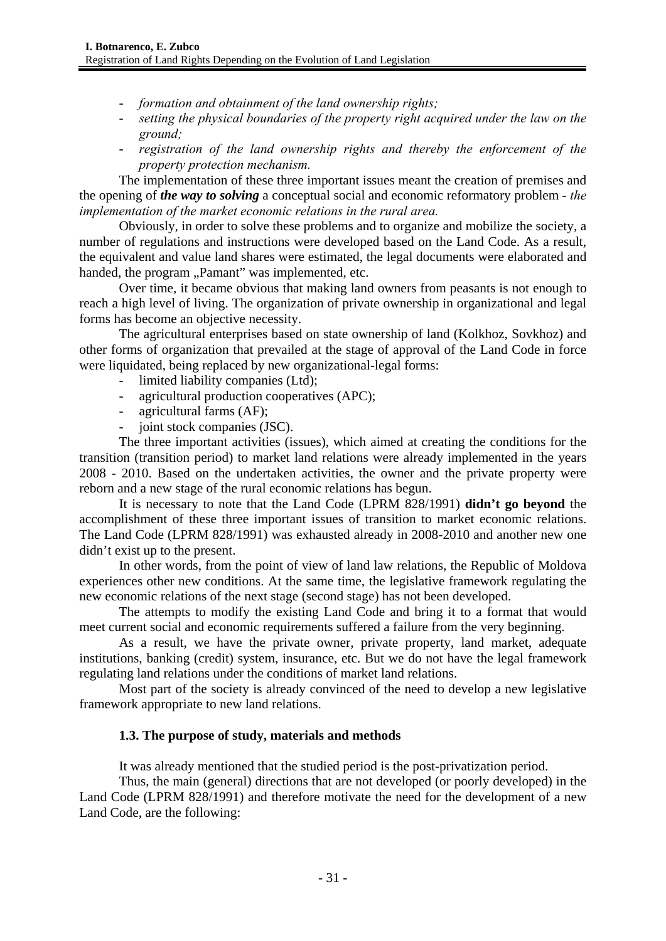- *formation and obtainment of the land ownership rights;*
- *setting the physical boundaries of the property right acquired under the law on the ground;*
- *registration of the land ownership rights and thereby the enforcement of the property protection mechanism.*

The implementation of these three important issues meant the creation of premises and the opening of *the way to solving* a conceptual social and economic reformatory problem *- the implementation of the market economic relations in the rural area.* 

Obviously, in order to solve these problems and to organize and mobilize the society, a number of regulations and instructions were developed based on the Land Code. As a result, the equivalent and value land shares were estimated, the legal documents were elaborated and handed, the program "Pamant" was implemented, etc.

Over time, it became obvious that making land owners from peasants is not enough to reach a high level of living. The organization of private ownership in organizational and legal forms has become an objective necessity.

The agricultural enterprises based on state ownership of land (Kolkhoz, Sovkhoz) and other forms of organization that prevailed at the stage of approval of the Land Code in force were liquidated, being replaced by new organizational-legal forms:

- limited liability companies (Ltd);
- agricultural production cooperatives (APC);
- agricultural farms (AF);
- joint stock companies (JSC).

The three important activities (issues), which aimed at creating the conditions for the transition (transition period) to market land relations were already implemented in the years 2008 - 2010. Based on the undertaken activities, the owner and the private property were reborn and a new stage of the rural economic relations has begun.

It is necessary to note that the Land Code (LPRM 828/1991) **didn't go beyond** the accomplishment of these three important issues of transition to market economic relations. The Land Code (LPRM 828/1991) was exhausted already in 2008-2010 and another new one didn't exist up to the present.

In other words, from the point of view of land law relations, the Republic of Moldova experiences other new conditions. At the same time, the legislative framework regulating the new economic relations of the next stage (second stage) has not been developed.

The attempts to modify the existing Land Code and bring it to a format that would meet current social and economic requirements suffered a failure from the very beginning.

As a result, we have the private owner, private property, land market, adequate institutions, banking (credit) system, insurance, etc. But we do not have the legal framework regulating land relations under the conditions of market land relations.

Most part of the society is already convinced of the need to develop a new legislative framework appropriate to new land relations.

### **1.3. The purpose of study, materials and methods**

It was already mentioned that the studied period is the post-privatization period.

Thus, the main (general) directions that are not developed (or poorly developed) in the Land Code (LPRM 828/1991) and therefore motivate the need for the development of a new Land Code, are the following: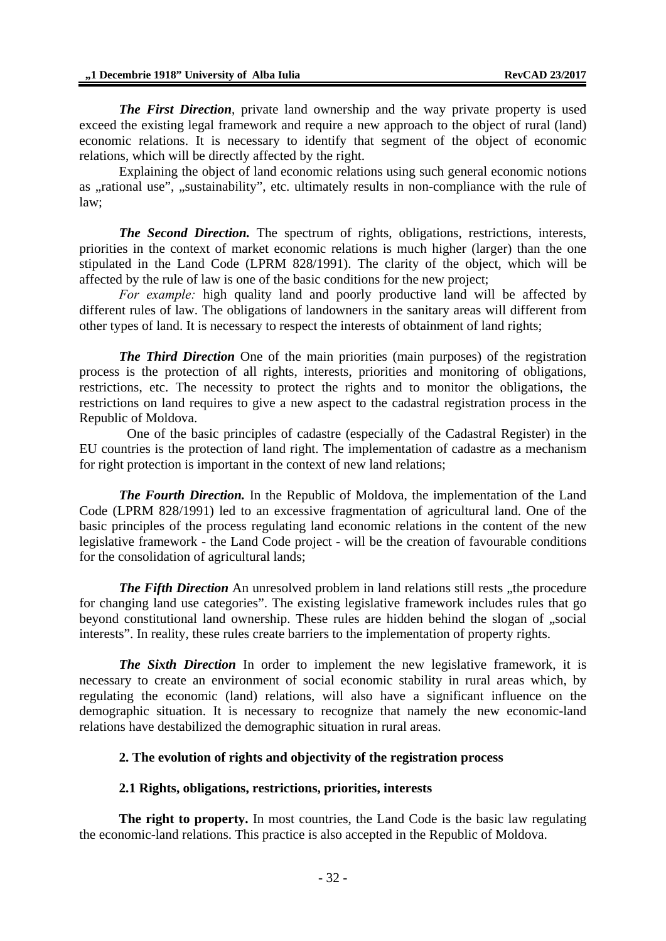*The First Direction*, private land ownership and the way private property is used exceed the existing legal framework and require a new approach to the object of rural (land) economic relations. It is necessary to identify that segment of the object of economic relations, which will be directly affected by the right.

Explaining the object of land economic relations using such general economic notions as "rational use", "sustainability", etc. ultimately results in non-compliance with the rule of law;

*The Second Direction.* The spectrum of rights, obligations, restrictions, interests, priorities in the context of market economic relations is much higher (larger) than the one stipulated in the Land Code (LPRM 828/1991). The clarity of the object, which will be affected by the rule of law is one of the basic conditions for the new project;

*For example:* high quality land and poorly productive land will be affected by different rules of law. The obligations of landowners in the sanitary areas will different from other types of land. It is necessary to respect the interests of obtainment of land rights;

*The Third Direction* One of the main priorities (main purposes) of the registration process is the protection of all rights, interests, priorities and monitoring of obligations, restrictions, etc. The necessity to protect the rights and to monitor the obligations, the restrictions on land requires to give a new aspect to the cadastral registration process in the Republic of Moldova.

 One of the basic principles of cadastre (especially of the Cadastral Register) in the EU countries is the protection of land right. The implementation of cadastre as a mechanism for right protection is important in the context of new land relations;

*The Fourth Direction.* In the Republic of Moldova, the implementation of the Land Code (LPRM 828/1991) led to an excessive fragmentation of agricultural land. One of the basic principles of the process regulating land economic relations in the content of the new legislative framework - the Land Code project - will be the creation of favourable conditions for the consolidation of agricultural lands;

*The Fifth Direction* An unresolved problem in land relations still rests "the procedure for changing land use categories". The existing legislative framework includes rules that go beyond constitutional land ownership. These rules are hidden behind the slogan of "social interests". In reality, these rules create barriers to the implementation of property rights.

*The Sixth Direction* In order to implement the new legislative framework, it is necessary to create an environment of social economic stability in rural areas which, by regulating the economic (land) relations, will also have a significant influence on the demographic situation. It is necessary to recognize that namely the new economic-land relations have destabilized the demographic situation in rural areas.

### **2. The evolution of rights and objectivity of the registration process**

#### **2.1 Rights, obligations, restrictions, priorities, interests**

**The right to property.** In most countries, the Land Code is the basic law regulating the economic-land relations. This practice is also accepted in the Republic of Moldova.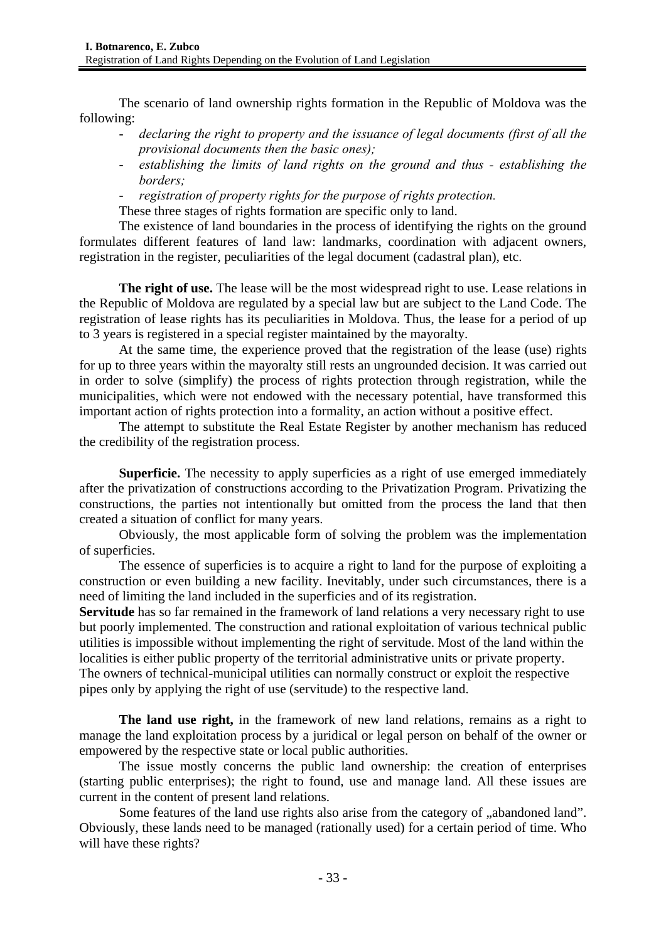The scenario of land ownership rights formation in the Republic of Moldova was the following:

- *declaring the right to property and the issuance of legal documents (first of all the provisional documents then the basic ones);*
- *establishing the limits of land rights on the ground and thus establishing the borders;*
- *registration of property rights for the purpose of rights protection.*
- These three stages of rights formation are specific only to land.

The existence of land boundaries in the process of identifying the rights on the ground formulates different features of land law: landmarks, coordination with adjacent owners, registration in the register, peculiarities of the legal document (cadastral plan), etc.

**The right of use.** The lease will be the most widespread right to use. Lease relations in the Republic of Moldova are regulated by a special law but are subject to the Land Code. The registration of lease rights has its peculiarities in Moldova. Thus, the lease for a period of up to 3 years is registered in a special register maintained by the mayoralty.

At the same time, the experience proved that the registration of the lease (use) rights for up to three years within the mayoralty still rests an ungrounded decision. It was carried out in order to solve (simplify) the process of rights protection through registration, while the municipalities, which were not endowed with the necessary potential, have transformed this important action of rights protection into a formality, an action without a positive effect.

The attempt to substitute the Real Estate Register by another mechanism has reduced the credibility of the registration process.

**Superficie.** The necessity to apply superficies as a right of use emerged immediately after the privatization of constructions according to the Privatization Program. Privatizing the constructions, the parties not intentionally but omitted from the process the land that then created a situation of conflict for many years.

Obviously, the most applicable form of solving the problem was the implementation of superficies.

The essence of superficies is to acquire a right to land for the purpose of exploiting a construction or even building a new facility. Inevitably, under such circumstances, there is a need of limiting the land included in the superficies and of its registration.

**Servitude** has so far remained in the framework of land relations a very necessary right to use but poorly implemented. The construction and rational exploitation of various technical public utilities is impossible without implementing the right of servitude. Most of the land within the localities is either public property of the territorial administrative units or private property.

The owners of technical-municipal utilities can normally construct or exploit the respective pipes only by applying the right of use (servitude) to the respective land.

**The land use right,** in the framework of new land relations, remains as a right to manage the land exploitation process by a juridical or legal person on behalf of the owner or empowered by the respective state or local public authorities.

The issue mostly concerns the public land ownership: the creation of enterprises (starting public enterprises); the right to found, use and manage land. All these issues are current in the content of present land relations.

Some features of the land use rights also arise from the category of "abandoned land". Obviously, these lands need to be managed (rationally used) for a certain period of time. Who will have these rights?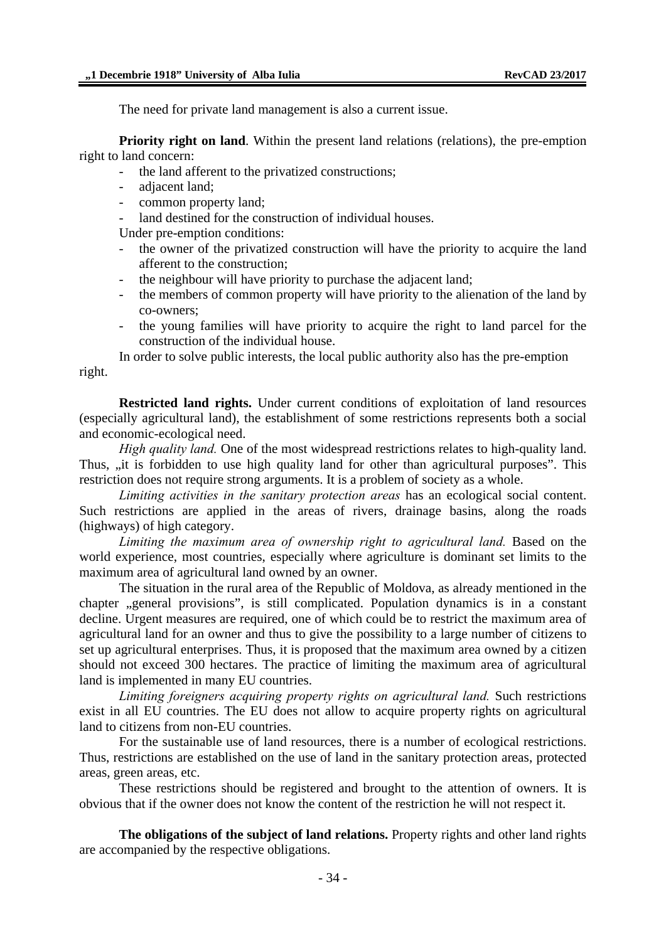The need for private land management is also a current issue.

**Priority right on land.** Within the present land relations (relations), the pre-emption right to land concern:

- the land afferent to the privatized constructions;
- adjacent land;
- common property land;
- land destined for the construction of individual houses.

Under pre-emption conditions:

- the owner of the privatized construction will have the priority to acquire the land afferent to the construction;
- the neighbour will have priority to purchase the adjacent land;
- the members of common property will have priority to the alienation of the land by co-owners;
- the young families will have priority to acquire the right to land parcel for the construction of the individual house.

In order to solve public interests, the local public authority also has the pre-emption right.

**Restricted land rights.** Under current conditions of exploitation of land resources (especially agricultural land), the establishment of some restrictions represents both a social and economic-ecological need.

*High quality land.* One of the most widespread restrictions relates to high-quality land. Thus, , it is forbidden to use high quality land for other than agricultural purposes". This restriction does not require strong arguments. It is a problem of society as a whole.

*Limiting activities in the sanitary protection areas* has an ecological social content. Such restrictions are applied in the areas of rivers, drainage basins, along the roads (highways) of high category.

*Limiting the maximum area of ownership right to agricultural land.* Based on the world experience, most countries, especially where agriculture is dominant set limits to the maximum area of agricultural land owned by an owner.

The situation in the rural area of the Republic of Moldova, as already mentioned in the chapter , general provisions", is still complicated. Population dynamics is in a constant decline. Urgent measures are required, one of which could be to restrict the maximum area of agricultural land for an owner and thus to give the possibility to a large number of citizens to set up agricultural enterprises. Thus, it is proposed that the maximum area owned by a citizen should not exceed 300 hectares. The practice of limiting the maximum area of agricultural land is implemented in many EU countries.

*Limiting foreigners acquiring property rights on agricultural land.* Such restrictions exist in all EU countries. The EU does not allow to acquire property rights on agricultural land to citizens from non-EU countries.

For the sustainable use of land resources, there is a number of ecological restrictions. Thus, restrictions are established on the use of land in the sanitary protection areas, protected areas, green areas, etc.

These restrictions should be registered and brought to the attention of owners. It is obvious that if the owner does not know the content of the restriction he will not respect it.

**The obligations of the subject of land relations.** Property rights and other land rights are accompanied by the respective obligations.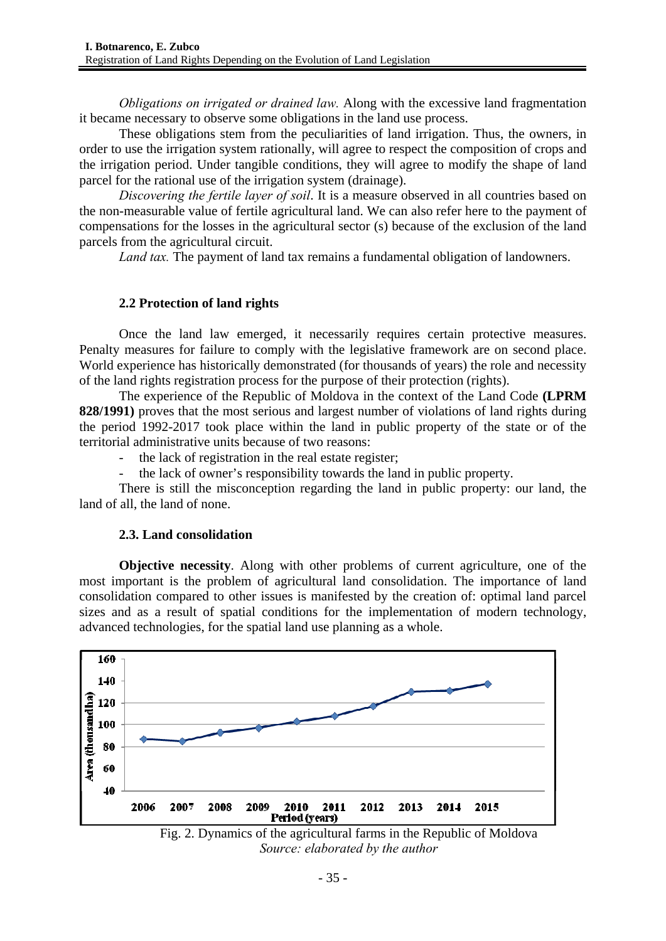*Obligations on irrigated or drained law.* Along with the excessive land fragmentation it became necessary to observe some obligations in the land use process.

These obligations stem from the peculiarities of land irrigation. Thus, the owners, in order to use the irrigation system rationally, will agree to respect the composition of crops and the irrigation period. Under tangible conditions, they will agree to modify the shape of land parcel for the rational use of the irrigation system (drainage).

*Discovering the fertile layer of soil*. It is a measure observed in all countries based on the non-measurable value of fertile agricultural land. We can also refer here to the payment of compensations for the losses in the agricultural sector (s) because of the exclusion of the land parcels from the agricultural circuit.

*Land tax.* The payment of land tax remains a fundamental obligation of landowners.

### **2.2 Protection of land rights**

Once the land law emerged, it necessarily requires certain protective measures. Penalty measures for failure to comply with the legislative framework are on second place. World experience has historically demonstrated (for thousands of years) the role and necessity of the land rights registration process for the purpose of their protection (rights).

The experience of the Republic of Moldova in the context of the Land Code **(LPRM 828/1991)** proves that the most serious and largest number of violations of land rights during the period 1992-2017 took place within the land in public property of the state or of the territorial administrative units because of two reasons:

- the lack of registration in the real estate register;
- the lack of owner's responsibility towards the land in public property.

There is still the misconception regarding the land in public property: our land, the land of all, the land of none.

### **2.3. Land consolidation**

**Objective necessity**. Along with other problems of current agriculture, one of the most important is the problem of agricultural land consolidation. The importance of land consolidation compared to other issues is manifested by the creation of: optimal land parcel sizes and as a result of spatial conditions for the implementation of modern technology, advanced technologies, for the spatial land use planning as a whole.



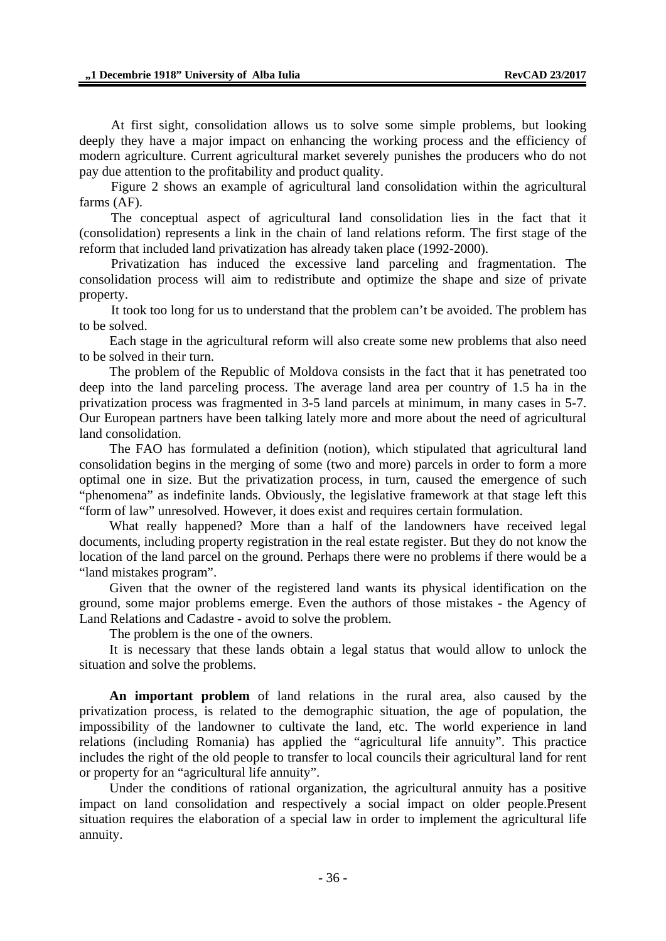At first sight, consolidation allows us to solve some simple problems, but looking deeply they have a major impact on enhancing the working process and the efficiency of modern agriculture. Current agricultural market severely punishes the producers who do not pay due attention to the profitability and product quality.

Figure 2 shows an example of agricultural land consolidation within the agricultural farms (AF).

The conceptual aspect of agricultural land consolidation lies in the fact that it (consolidation) represents a link in the chain of land relations reform. The first stage of the reform that included land privatization has already taken place (1992-2000).

Privatization has induced the excessive land parceling and fragmentation. The consolidation process will aim to redistribute and optimize the shape and size of private property.

It took too long for us to understand that the problem can't be avoided. The problem has to be solved.

Each stage in the agricultural reform will also create some new problems that also need to be solved in their turn.

The problem of the Republic of Moldova consists in the fact that it has penetrated too deep into the land parceling process. The average land area per country of 1.5 ha in the privatization process was fragmented in 3-5 land parcels at minimum, in many cases in 5-7. Our European partners have been talking lately more and more about the need of agricultural land consolidation.

The FAO has formulated a definition (notion), which stipulated that agricultural land consolidation begins in the merging of some (two and more) parcels in order to form a more optimal one in size. But the privatization process, in turn, caused the emergence of such "phenomena" as indefinite lands. Obviously, the legislative framework at that stage left this "form of law" unresolved. However, it does exist and requires certain formulation.

What really happened? More than a half of the landowners have received legal documents, including property registration in the real estate register. But they do not know the location of the land parcel on the ground. Perhaps there were no problems if there would be a "land mistakes program".

Given that the owner of the registered land wants its physical identification on the ground, some major problems emerge. Even the authors of those mistakes - the Agency of Land Relations and Cadastre - avoid to solve the problem.

The problem is the one of the owners.

It is necessary that these lands obtain a legal status that would allow to unlock the situation and solve the problems.

**An important problem** of land relations in the rural area, also caused by the privatization process, is related to the demographic situation, the age of population, the impossibility of the landowner to cultivate the land, etc. The world experience in land relations (including Romania) has applied the "agricultural life annuity". This practice includes the right of the old people to transfer to local councils their agricultural land for rent or property for an "agricultural life annuity".

Under the conditions of rational organization, the agricultural annuity has a positive impact on land consolidation and respectively a social impact on older people.Present situation requires the elaboration of a special law in order to implement the agricultural life annuity.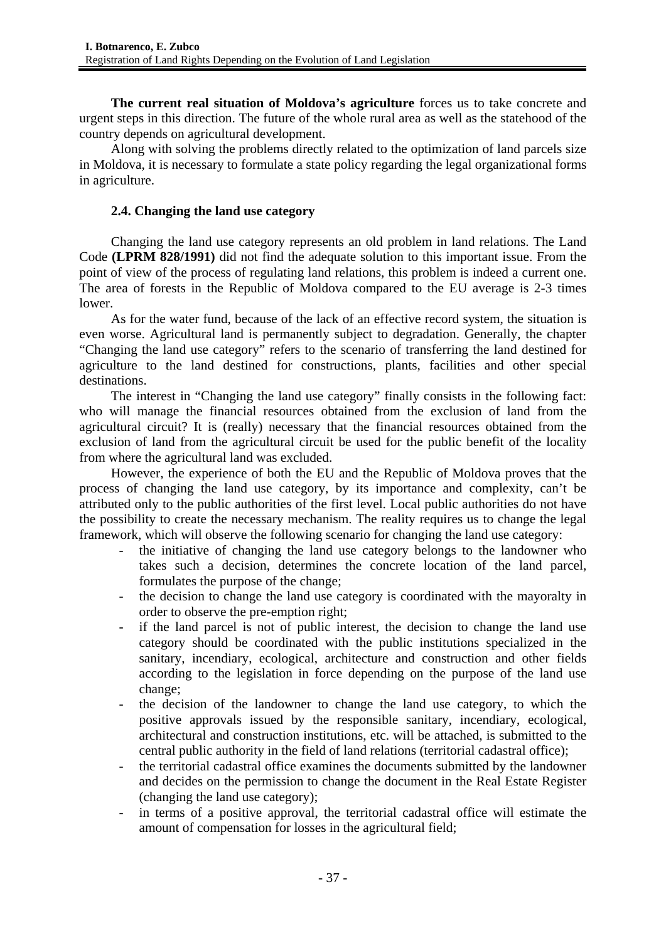**The current real situation of Moldova's agriculture** forces us to take concrete and urgent steps in this direction. The future of the whole rural area as well as the statehood of the country depends on agricultural development.

Along with solving the problems directly related to the optimization of land parcels size in Moldova, it is necessary to formulate a state policy regarding the legal organizational forms in agriculture.

# **2.4. Changing the land use category**

Changing the land use category represents an old problem in land relations. The Land Code **(LPRM 828/1991)** did not find the adequate solution to this important issue. From the point of view of the process of regulating land relations, this problem is indeed a current one. The area of forests in the Republic of Moldova compared to the EU average is 2-3 times lower.

As for the water fund, because of the lack of an effective record system, the situation is even worse. Agricultural land is permanently subject to degradation. Generally, the chapter "Changing the land use category" refers to the scenario of transferring the land destined for agriculture to the land destined for constructions, plants, facilities and other special destinations.

The interest in "Changing the land use category" finally consists in the following fact: who will manage the financial resources obtained from the exclusion of land from the agricultural circuit? It is (really) necessary that the financial resources obtained from the exclusion of land from the agricultural circuit be used for the public benefit of the locality from where the agricultural land was excluded.

However, the experience of both the EU and the Republic of Moldova proves that the process of changing the land use category, by its importance and complexity, can't be attributed only to the public authorities of the first level. Local public authorities do not have the possibility to create the necessary mechanism. The reality requires us to change the legal framework, which will observe the following scenario for changing the land use category:

- the initiative of changing the land use category belongs to the landowner who takes such a decision, determines the concrete location of the land parcel, formulates the purpose of the change;
- the decision to change the land use category is coordinated with the mayoralty in order to observe the pre-emption right;
- if the land parcel is not of public interest, the decision to change the land use category should be coordinated with the public institutions specialized in the sanitary, incendiary, ecological, architecture and construction and other fields according to the legislation in force depending on the purpose of the land use change;
- the decision of the landowner to change the land use category, to which the positive approvals issued by the responsible sanitary, incendiary, ecological, architectural and construction institutions, etc. will be attached, is submitted to the central public authority in the field of land relations (territorial cadastral office);
- the territorial cadastral office examines the documents submitted by the landowner and decides on the permission to change the document in the Real Estate Register (changing the land use category);
- in terms of a positive approval, the territorial cadastral office will estimate the amount of compensation for losses in the agricultural field;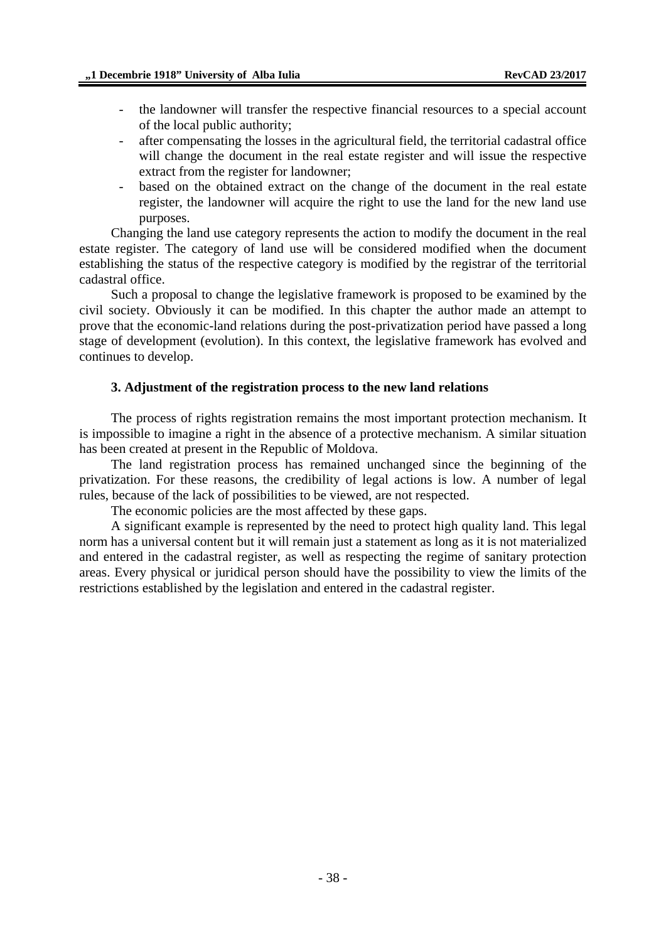- the landowner will transfer the respective financial resources to a special account of the local public authority;
- after compensating the losses in the agricultural field, the territorial cadastral office will change the document in the real estate register and will issue the respective extract from the register for landowner;
- based on the obtained extract on the change of the document in the real estate register, the landowner will acquire the right to use the land for the new land use purposes.

Changing the land use category represents the action to modify the document in the real estate register. The category of land use will be considered modified when the document establishing the status of the respective category is modified by the registrar of the territorial cadastral office.

Such a proposal to change the legislative framework is proposed to be examined by the civil society. Obviously it can be modified. In this chapter the author made an attempt to prove that the economic-land relations during the post-privatization period have passed a long stage of development (evolution). In this context, the legislative framework has evolved and continues to develop.

#### **3. Adjustment of the registration process to the new land relations**

The process of rights registration remains the most important protection mechanism. It is impossible to imagine a right in the absence of a protective mechanism. A similar situation has been created at present in the Republic of Moldova.

The land registration process has remained unchanged since the beginning of the privatization. For these reasons, the credibility of legal actions is low. A number of legal rules, because of the lack of possibilities to be viewed, are not respected.

The economic policies are the most affected by these gaps.

A significant example is represented by the need to protect high quality land. This legal norm has a universal content but it will remain just a statement as long as it is not materialized and entered in the cadastral register, as well as respecting the regime of sanitary protection areas. Every physical or juridical person should have the possibility to view the limits of the restrictions established by the legislation and entered in the cadastral register.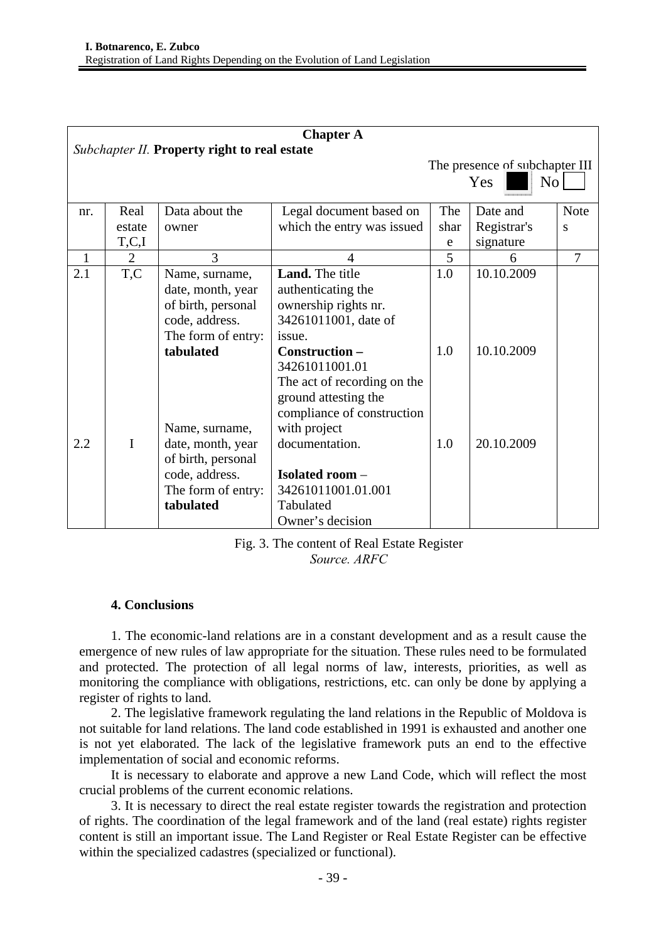| <b>Chapter A</b>                             |          |                                                                                                                                                                                                                                  |                                                                                                                                                                                                                                                                                                                                            |                                                         |                                        |             |
|----------------------------------------------|----------|----------------------------------------------------------------------------------------------------------------------------------------------------------------------------------------------------------------------------------|--------------------------------------------------------------------------------------------------------------------------------------------------------------------------------------------------------------------------------------------------------------------------------------------------------------------------------------------|---------------------------------------------------------|----------------------------------------|-------------|
| Subchapter II. Property right to real estate |          |                                                                                                                                                                                                                                  |                                                                                                                                                                                                                                                                                                                                            | The presence of subchapter III<br>N <sub>o</sub><br>Yes |                                        |             |
| nr.                                          | Real     | Data about the                                                                                                                                                                                                                   | Legal document based on                                                                                                                                                                                                                                                                                                                    | The                                                     | Date and                               | <b>Note</b> |
|                                              | estate   | owner                                                                                                                                                                                                                            | which the entry was issued                                                                                                                                                                                                                                                                                                                 | shar                                                    | Registrar's                            | S           |
|                                              | T, C, I  |                                                                                                                                                                                                                                  |                                                                                                                                                                                                                                                                                                                                            | e                                                       | signature                              |             |
| $\mathbf{1}$                                 | 2        | 3                                                                                                                                                                                                                                | $\Delta$                                                                                                                                                                                                                                                                                                                                   | 5                                                       | 6                                      | 7           |
| 2.1<br>2.2                                   | T,C<br>I | Name, surname,<br>date, month, year<br>of birth, personal<br>code, address.<br>The form of entry:<br>tabulated<br>Name, surname,<br>date, month, year<br>of birth, personal<br>code, address.<br>The form of entry:<br>tabulated | Land. The title<br>authenticating the<br>ownership rights nr.<br>34261011001, date of<br>issue.<br>Construction-<br>34261011001.01<br>The act of recording on the<br>ground attesting the<br>compliance of construction<br>with project<br>documentation.<br><b>Isolated room -</b><br>34261011001.01.001<br>Tabulated<br>Owner's decision | 1.0<br>1.0<br>1.0                                       | 10.10.2009<br>10.10.2009<br>20.10.2009 |             |

### Fig. 3. The content of Real Estate Register *Source. ARFC*

# **4. Conclusions**

1. The economic-land relations are in a constant development and as a result cause the emergence of new rules of law appropriate for the situation. These rules need to be formulated and protected. The protection of all legal norms of law, interests, priorities, as well as monitoring the compliance with obligations, restrictions, etc. can only be done by applying a register of rights to land.

2. The legislative framework regulating the land relations in the Republic of Moldova is not suitable for land relations. The land code established in 1991 is exhausted and another one is not yet elaborated. The lack of the legislative framework puts an end to the effective implementation of social and economic reforms.

It is necessary to elaborate and approve a new Land Code, which will reflect the most crucial problems of the current economic relations.

3. It is necessary to direct the real estate register towards the registration and protection of rights. The coordination of the legal framework and of the land (real estate) rights register content is still an important issue. The Land Register or Real Estate Register can be effective within the specialized cadastres (specialized or functional).